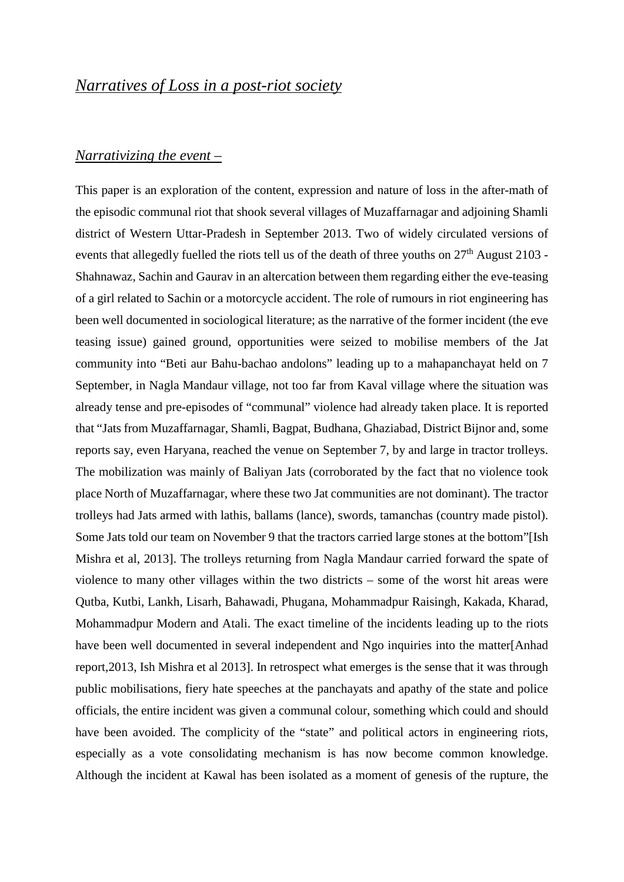### *Narrativizing the event –*

This paper is an exploration of the content, expression and nature of loss in the after-math of the episodic communal riot that shook several villages of Muzaffarnagar and adjoining Shamli district of Western Uttar-Pradesh in September 2013. Two of widely circulated versions of events that allegedly fuelled the riots tell us of the death of three youths on  $27<sup>th</sup>$  August 2103 -Shahnawaz, Sachin and Gaurav in an altercation between them regarding either the eve-teasing of a girl related to Sachin or a motorcycle accident. The role of rumours in riot engineering has been well documented in sociological literature; as the narrative of the former incident (the eve teasing issue) gained ground, opportunities were seized to mobilise members of the Jat community into "Beti aur Bahu-bachao andolons" leading up to a mahapanchayat held on 7 September, in Nagla Mandaur village, not too far from Kaval village where the situation was already tense and pre-episodes of "communal" violence had already taken place. It is reported that "Jats from Muzaffarnagar, Shamli, Bagpat, Budhana, Ghaziabad, District Bijnor and, some reports say, even Haryana, reached the venue on September 7, by and large in tractor trolleys. The mobilization was mainly of Baliyan Jats (corroborated by the fact that no violence took place North of Muzaffarnagar, where these two Jat communities are not dominant). The tractor trolleys had Jats armed with lathis, ballams (lance), swords, tamanchas (country made pistol). Some Jats told our team on November 9 that the tractors carried large stones at the bottom"[Ish Mishra et al, 2013]. The trolleys returning from Nagla Mandaur carried forward the spate of violence to many other villages within the two districts – some of the worst hit areas were Qutba, Kutbi, Lankh, Lisarh, Bahawadi, Phugana, Mohammadpur Raisingh, Kakada, Kharad, Mohammadpur Modern and Atali. The exact timeline of the incidents leading up to the riots have been well documented in several independent and Ngo inquiries into the matter[Anhad report,2013, Ish Mishra et al 2013]. In retrospect what emerges is the sense that it was through public mobilisations, fiery hate speeches at the panchayats and apathy of the state and police officials, the entire incident was given a communal colour, something which could and should have been avoided. The complicity of the "state" and political actors in engineering riots, especially as a vote consolidating mechanism is has now become common knowledge. Although the incident at Kawal has been isolated as a moment of genesis of the rupture, the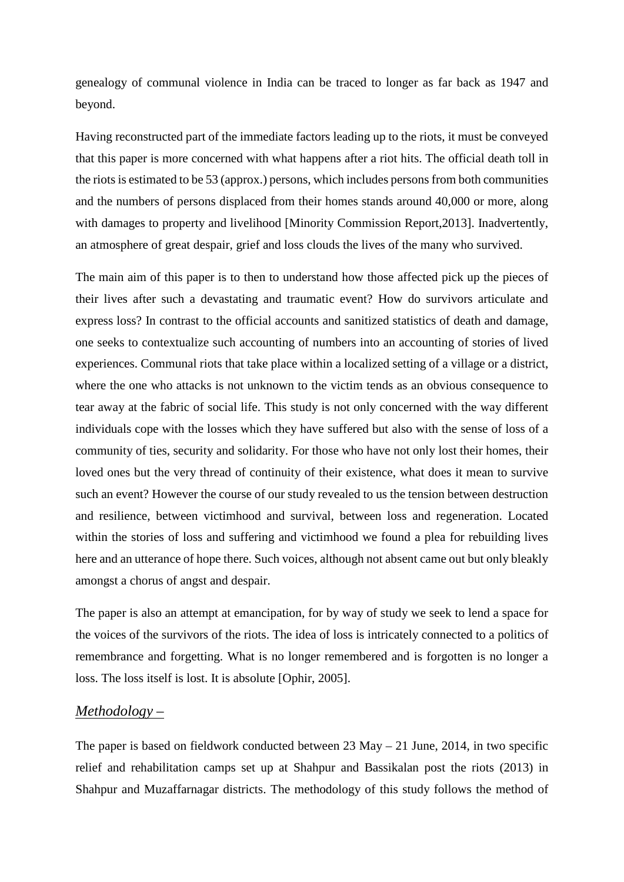genealogy of communal violence in India can be traced to longer as far back as 1947 and beyond.

Having reconstructed part of the immediate factors leading up to the riots, it must be conveyed that this paper is more concerned with what happens after a riot hits. The official death toll in the riots is estimated to be 53 (approx.) persons, which includes persons from both communities and the numbers of persons displaced from their homes stands around 40,000 or more, along with damages to property and livelihood [Minority Commission Report,2013]. Inadvertently, an atmosphere of great despair, grief and loss clouds the lives of the many who survived.

The main aim of this paper is to then to understand how those affected pick up the pieces of their lives after such a devastating and traumatic event? How do survivors articulate and express loss? In contrast to the official accounts and sanitized statistics of death and damage, one seeks to contextualize such accounting of numbers into an accounting of stories of lived experiences. Communal riots that take place within a localized setting of a village or a district, where the one who attacks is not unknown to the victim tends as an obvious consequence to tear away at the fabric of social life. This study is not only concerned with the way different individuals cope with the losses which they have suffered but also with the sense of loss of a community of ties, security and solidarity. For those who have not only lost their homes, their loved ones but the very thread of continuity of their existence, what does it mean to survive such an event? However the course of our study revealed to us the tension between destruction and resilience, between victimhood and survival, between loss and regeneration. Located within the stories of loss and suffering and victimhood we found a plea for rebuilding lives here and an utterance of hope there. Such voices, although not absent came out but only bleakly amongst a chorus of angst and despair.

The paper is also an attempt at emancipation, for by way of study we seek to lend a space for the voices of the survivors of the riots. The idea of loss is intricately connected to a politics of remembrance and forgetting. What is no longer remembered and is forgotten is no longer a loss. The loss itself is lost. It is absolute [Ophir, 2005].

#### *Methodology –*

The paper is based on fieldwork conducted between 23 May – 21 June, 2014, in two specific relief and rehabilitation camps set up at Shahpur and Bassikalan post the riots (2013) in Shahpur and Muzaffarnagar districts. The methodology of this study follows the method of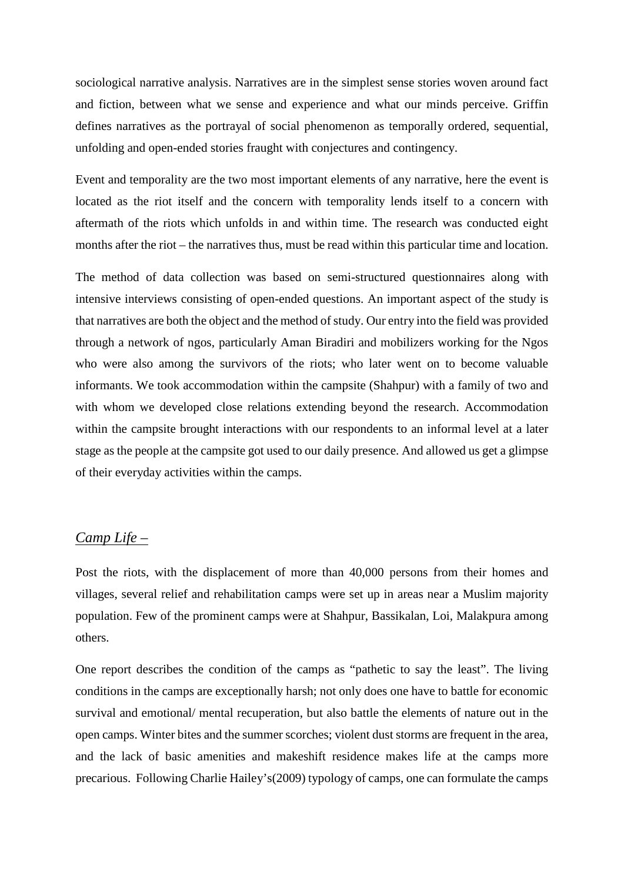sociological narrative analysis. Narratives are in the simplest sense stories woven around fact and fiction, between what we sense and experience and what our minds perceive. Griffin defines narratives as the portrayal of social phenomenon as temporally ordered, sequential, unfolding and open-ended stories fraught with conjectures and contingency.

Event and temporality are the two most important elements of any narrative, here the event is located as the riot itself and the concern with temporality lends itself to a concern with aftermath of the riots which unfolds in and within time. The research was conducted eight months after the riot – the narratives thus, must be read within this particular time and location.

The method of data collection was based on semi-structured questionnaires along with intensive interviews consisting of open-ended questions. An important aspect of the study is that narratives are both the object and the method of study. Our entry into the field was provided through a network of ngos, particularly Aman Biradiri and mobilizers working for the Ngos who were also among the survivors of the riots; who later went on to become valuable informants. We took accommodation within the campsite (Shahpur) with a family of two and with whom we developed close relations extending beyond the research. Accommodation within the campsite brought interactions with our respondents to an informal level at a later stage as the people at the campsite got used to our daily presence. And allowed us get a glimpse of their everyday activities within the camps.

## *Camp Life –*

Post the riots, with the displacement of more than 40,000 persons from their homes and villages, several relief and rehabilitation camps were set up in areas near a Muslim majority population. Few of the prominent camps were at Shahpur, Bassikalan, Loi, Malakpura among others.

One report describes the condition of the camps as "pathetic to say the least". The living conditions in the camps are exceptionally harsh; not only does one have to battle for economic survival and emotional/ mental recuperation, but also battle the elements of nature out in the open camps. Winter bites and the summer scorches; violent dust storms are frequent in the area, and the lack of basic amenities and makeshift residence makes life at the camps more precarious. Following Charlie Hailey's(2009) typology of camps, one can formulate the camps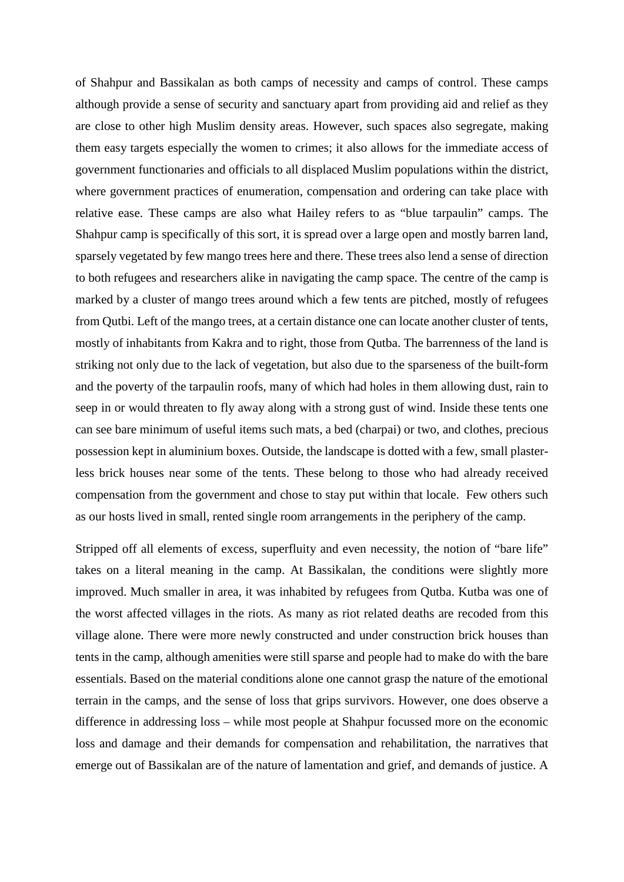of Shahpur and Bassikalan as both camps of necessity and camps of control. These camps although provide a sense of security and sanctuary apart from providing aid and relief as they are close to other high Muslim density areas. However, such spaces also segregate, making them easy targets especially the women to crimes; it also allows for the immediate access of government functionaries and officials to all displaced Muslim populations within the district, where government practices of enumeration, compensation and ordering can take place with relative ease. These camps are also what Hailey refers to as "blue tarpaulin" camps. The Shahpur camp is specifically of this sort, it is spread over a large open and mostly barren land, sparsely vegetated by few mango trees here and there. These trees also lend a sense of direction to both refugees and researchers alike in navigating the camp space. The centre of the camp is marked by a cluster of mango trees around which a few tents are pitched, mostly of refugees from Qutbi. Left of the mango trees, at a certain distance one can locate another cluster of tents, mostly of inhabitants from Kakra and to right, those from Qutba. The barrenness of the land is striking not only due to the lack of vegetation, but also due to the sparseness of the built-form and the poverty of the tarpaulin roofs, many of which had holes in them allowing dust, rain to seep in or would threaten to fly away along with a strong gust of wind. Inside these tents one can see bare minimum of useful items such mats, a bed (charpai) or two, and clothes, precious possession kept in aluminium boxes. Outside, the landscape is dotted with a few, small plasterless brick houses near some of the tents. These belong to those who had already received compensation from the government and chose to stay put within that locale. Few others such as our hosts lived in small, rented single room arrangements in the periphery of the camp.

Stripped off all elements of excess, superfluity and even necessity, the notion of "bare life" takes on a literal meaning in the camp. At Bassikalan, the conditions were slightly more improved. Much smaller in area, it was inhabited by refugees from Qutba. Kutba was one of the worst affected villages in the riots. As many as riot related deaths are recoded from this village alone. There were more newly constructed and under construction brick houses than tents in the camp, although amenities were still sparse and people had to make do with the bare essentials. Based on the material conditions alone one cannot grasp the nature of the emotional terrain in the camps, and the sense of loss that grips survivors. However, one does observe a difference in addressing loss – while most people at Shahpur focussed more on the economic loss and damage and their demands for compensation and rehabilitation, the narratives that emerge out of Bassikalan are of the nature of lamentation and grief, and demands of justice. A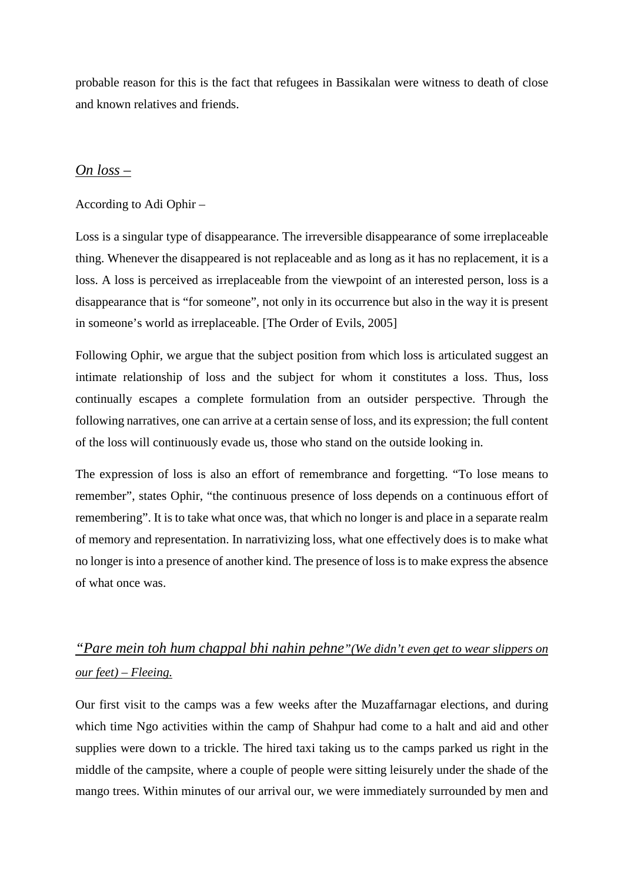probable reason for this is the fact that refugees in Bassikalan were witness to death of close and known relatives and friends.

## *On loss –*

### According to Adi Ophir –

Loss is a singular type of disappearance. The irreversible disappearance of some irreplaceable thing. Whenever the disappeared is not replaceable and as long as it has no replacement, it is a loss. A loss is perceived as irreplaceable from the viewpoint of an interested person, loss is a disappearance that is "for someone", not only in its occurrence but also in the way it is present in someone's world as irreplaceable. [The Order of Evils, 2005]

Following Ophir, we argue that the subject position from which loss is articulated suggest an intimate relationship of loss and the subject for whom it constitutes a loss. Thus, loss continually escapes a complete formulation from an outsider perspective. Through the following narratives, one can arrive at a certain sense of loss, and its expression; the full content of the loss will continuously evade us, those who stand on the outside looking in.

The expression of loss is also an effort of remembrance and forgetting. "To lose means to remember", states Ophir, "the continuous presence of loss depends on a continuous effort of remembering". It is to take what once was, that which no longer is and place in a separate realm of memory and representation. In narrativizing loss, what one effectively does is to make what no longer is into a presence of another kind. The presence of loss is to make express the absence of what once was.

# *"Pare mein toh hum chappal bhi nahin pehne"(We didn't even get to wear slippers on our feet) – Fleeing.*

Our first visit to the camps was a few weeks after the Muzaffarnagar elections, and during which time Ngo activities within the camp of Shahpur had come to a halt and aid and other supplies were down to a trickle. The hired taxi taking us to the camps parked us right in the middle of the campsite, where a couple of people were sitting leisurely under the shade of the mango trees. Within minutes of our arrival our, we were immediately surrounded by men and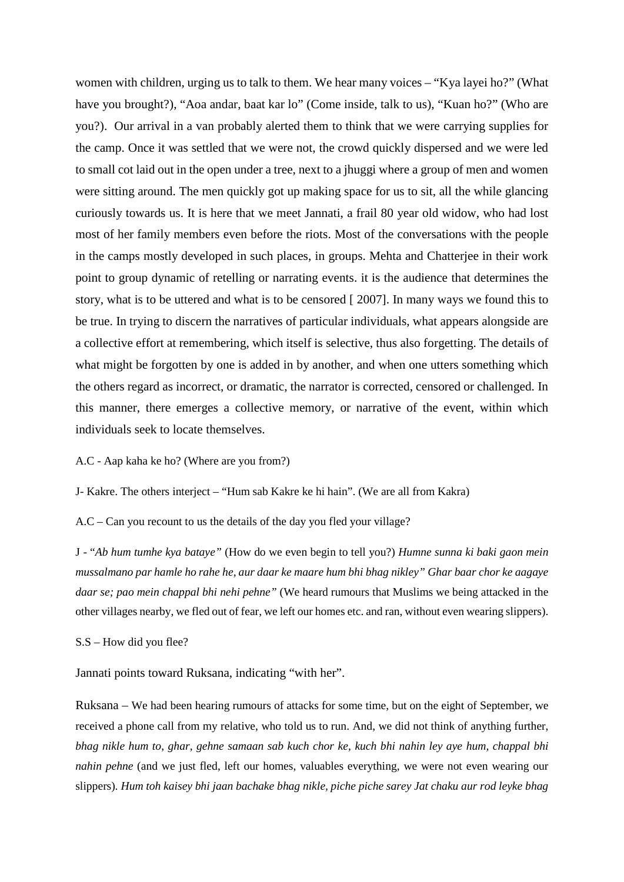women with children, urging us to talk to them. We hear many voices – "Kya layei ho?" (What have you brought?), "Aoa andar, baat kar lo" (Come inside, talk to us), "Kuan ho?" (Who are you?). Our arrival in a van probably alerted them to think that we were carrying supplies for the camp. Once it was settled that we were not, the crowd quickly dispersed and we were led to small cot laid out in the open under a tree, next to a jhuggi where a group of men and women were sitting around. The men quickly got up making space for us to sit, all the while glancing curiously towards us. It is here that we meet Jannati, a frail 80 year old widow, who had lost most of her family members even before the riots. Most of the conversations with the people in the camps mostly developed in such places, in groups. Mehta and Chatterjee in their work point to group dynamic of retelling or narrating events. it is the audience that determines the story, what is to be uttered and what is to be censored [ 2007]. In many ways we found this to be true. In trying to discern the narratives of particular individuals, what appears alongside are a collective effort at remembering, which itself is selective, thus also forgetting. The details of what might be forgotten by one is added in by another, and when one utters something which the others regard as incorrect, or dramatic, the narrator is corrected, censored or challenged. In this manner, there emerges a collective memory, or narrative of the event, within which individuals seek to locate themselves.

A.C - Aap kaha ke ho? (Where are you from?)

J- Kakre. The others interject – "Hum sab Kakre ke hi hain". (We are all from Kakra)

A.C – Can you recount to us the details of the day you fled your village?

J - "*Ab hum tumhe kya bataye"* (How do we even begin to tell you?) *Humne sunna ki baki gaon mein mussalmano par hamle ho rahe he, aur daar ke maare hum bhi bhag nikley" Ghar baar chor ke aagaye daar se; pao mein chappal bhi nehi pehne"* (We heard rumours that Muslims we being attacked in the other villages nearby, we fled out of fear, we left our homes etc. and ran, without even wearing slippers).

S.S – How did you flee?

Jannati points toward Ruksana, indicating "with her".

Ruksana – We had been hearing rumours of attacks for some time, but on the eight of September, we received a phone call from my relative, who told us to run. And, we did not think of anything further, *bhag nikle hum to*, *ghar, gehne samaan sab kuch chor ke, kuch bhi nahin ley aye hum, chappal bhi nahin pehne* (and we just fled, left our homes, valuables everything, we were not even wearing our slippers)*. Hum toh kaisey bhi jaan bachake bhag nikle, piche piche sarey Jat chaku aur rod leyke bhag*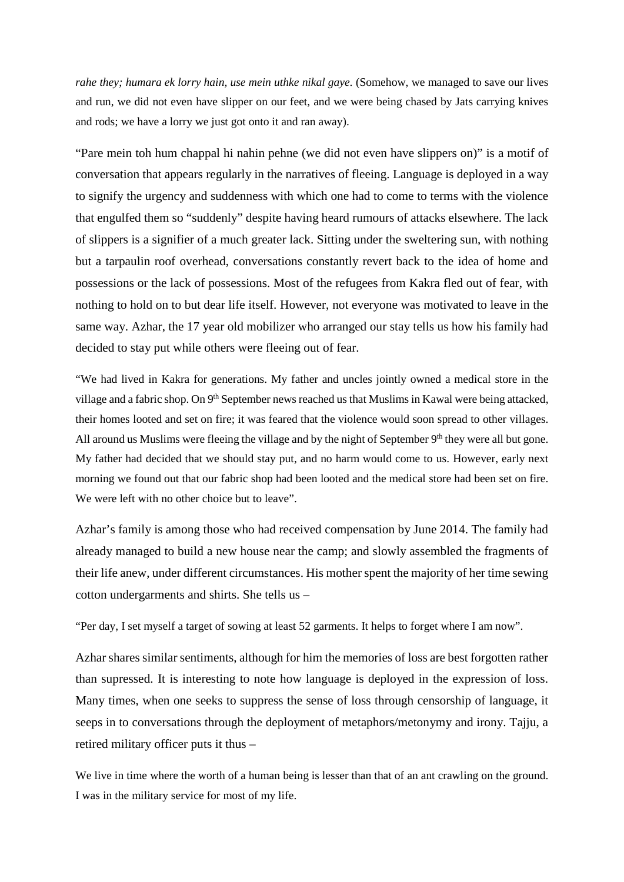*rahe they; humara ek lorry hain, use mein uthke nikal gaye.* (Somehow, we managed to save our lives and run, we did not even have slipper on our feet, and we were being chased by Jats carrying knives and rods; we have a lorry we just got onto it and ran away).

"Pare mein toh hum chappal hi nahin pehne (we did not even have slippers on)" is a motif of conversation that appears regularly in the narratives of fleeing. Language is deployed in a way to signify the urgency and suddenness with which one had to come to terms with the violence that engulfed them so "suddenly" despite having heard rumours of attacks elsewhere. The lack of slippers is a signifier of a much greater lack. Sitting under the sweltering sun, with nothing but a tarpaulin roof overhead, conversations constantly revert back to the idea of home and possessions or the lack of possessions. Most of the refugees from Kakra fled out of fear, with nothing to hold on to but dear life itself. However, not everyone was motivated to leave in the same way. Azhar, the 17 year old mobilizer who arranged our stay tells us how his family had decided to stay put while others were fleeing out of fear.

"We had lived in Kakra for generations. My father and uncles jointly owned a medical store in the village and a fabric shop. On 9<sup>th</sup> September news reached us that Muslims in Kawal were being attacked, their homes looted and set on fire; it was feared that the violence would soon spread to other villages. All around us Muslims were fleeing the village and by the night of September  $9<sup>th</sup>$  they were all but gone. My father had decided that we should stay put, and no harm would come to us. However, early next morning we found out that our fabric shop had been looted and the medical store had been set on fire. We were left with no other choice but to leave".

Azhar's family is among those who had received compensation by June 2014. The family had already managed to build a new house near the camp; and slowly assembled the fragments of their life anew, under different circumstances. His mother spent the majority of her time sewing cotton undergarments and shirts. She tells us –

"Per day, I set myself a target of sowing at least 52 garments. It helps to forget where I am now".

Azhar shares similar sentiments, although for him the memories of loss are best forgotten rather than supressed. It is interesting to note how language is deployed in the expression of loss. Many times, when one seeks to suppress the sense of loss through censorship of language, it seeps in to conversations through the deployment of metaphors/metonymy and irony. Tajju, a retired military officer puts it thus –

We live in time where the worth of a human being is lesser than that of an ant crawling on the ground. I was in the military service for most of my life.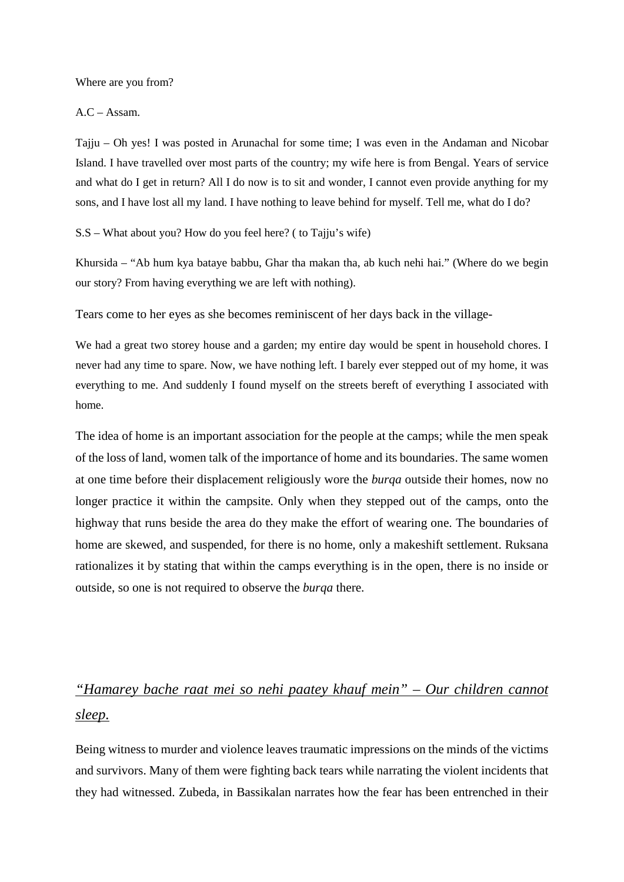Where are you from?

 $AC - Assam$ .

Tajju – Oh yes! I was posted in Arunachal for some time; I was even in the Andaman and Nicobar Island. I have travelled over most parts of the country; my wife here is from Bengal. Years of service and what do I get in return? All I do now is to sit and wonder, I cannot even provide anything for my sons, and I have lost all my land. I have nothing to leave behind for myself. Tell me, what do I do?

S.S – What about you? How do you feel here? ( to Tajju's wife)

Khursida – "Ab hum kya bataye babbu, Ghar tha makan tha, ab kuch nehi hai." (Where do we begin our story? From having everything we are left with nothing).

Tears come to her eyes as she becomes reminiscent of her days back in the village-

We had a great two storey house and a garden; my entire day would be spent in household chores. I never had any time to spare. Now, we have nothing left. I barely ever stepped out of my home, it was everything to me. And suddenly I found myself on the streets bereft of everything I associated with home.

The idea of home is an important association for the people at the camps; while the men speak of the loss of land, women talk of the importance of home and its boundaries. The same women at one time before their displacement religiously wore the *burqa* outside their homes, now no longer practice it within the campsite. Only when they stepped out of the camps, onto the highway that runs beside the area do they make the effort of wearing one. The boundaries of home are skewed, and suspended, for there is no home, only a makeshift settlement. Ruksana rationalizes it by stating that within the camps everything is in the open, there is no inside or outside, so one is not required to observe the *burqa* there.

# *"Hamarey bache raat mei so nehi paatey khauf mein" – Our children cannot sleep.*

Being witness to murder and violence leaves traumatic impressions on the minds of the victims and survivors. Many of them were fighting back tears while narrating the violent incidents that they had witnessed. Zubeda, in Bassikalan narrates how the fear has been entrenched in their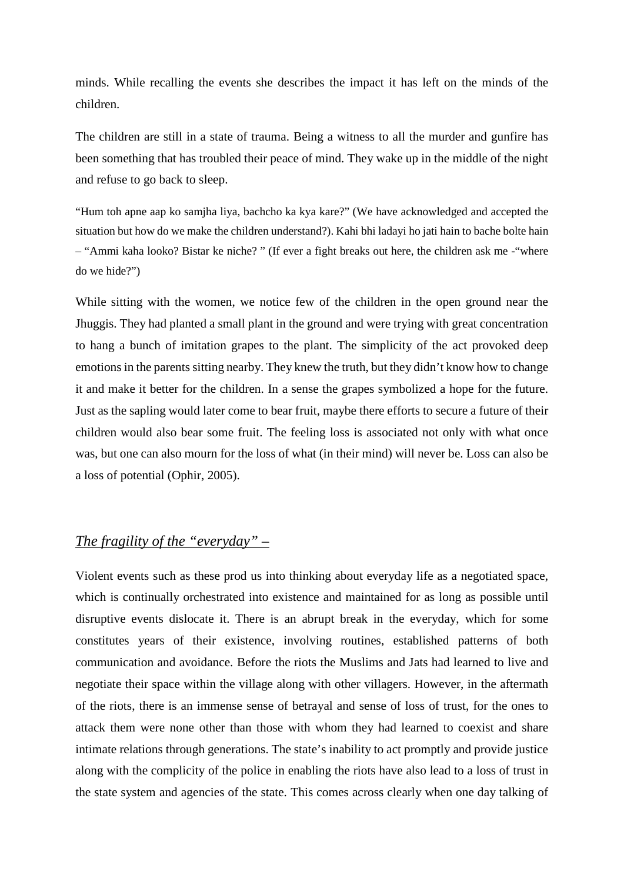minds. While recalling the events she describes the impact it has left on the minds of the children.

The children are still in a state of trauma. Being a witness to all the murder and gunfire has been something that has troubled their peace of mind. They wake up in the middle of the night and refuse to go back to sleep.

"Hum toh apne aap ko samjha liya, bachcho ka kya kare?" (We have acknowledged and accepted the situation but how do we make the children understand?). Kahi bhi ladayi ho jati hain to bache bolte hain – "Ammi kaha looko? Bistar ke niche? " (If ever a fight breaks out here, the children ask me -"where do we hide?")

While sitting with the women, we notice few of the children in the open ground near the Jhuggis. They had planted a small plant in the ground and were trying with great concentration to hang a bunch of imitation grapes to the plant. The simplicity of the act provoked deep emotions in the parents sitting nearby. They knew the truth, but they didn't know how to change it and make it better for the children. In a sense the grapes symbolized a hope for the future. Just as the sapling would later come to bear fruit, maybe there efforts to secure a future of their children would also bear some fruit. The feeling loss is associated not only with what once was, but one can also mourn for the loss of what (in their mind) will never be. Loss can also be a loss of potential (Ophir, 2005).

# *The fragility of the "everyday" –*

Violent events such as these prod us into thinking about everyday life as a negotiated space, which is continually orchestrated into existence and maintained for as long as possible until disruptive events dislocate it. There is an abrupt break in the everyday, which for some constitutes years of their existence, involving routines, established patterns of both communication and avoidance. Before the riots the Muslims and Jats had learned to live and negotiate their space within the village along with other villagers. However, in the aftermath of the riots, there is an immense sense of betrayal and sense of loss of trust, for the ones to attack them were none other than those with whom they had learned to coexist and share intimate relations through generations. The state's inability to act promptly and provide justice along with the complicity of the police in enabling the riots have also lead to a loss of trust in the state system and agencies of the state. This comes across clearly when one day talking of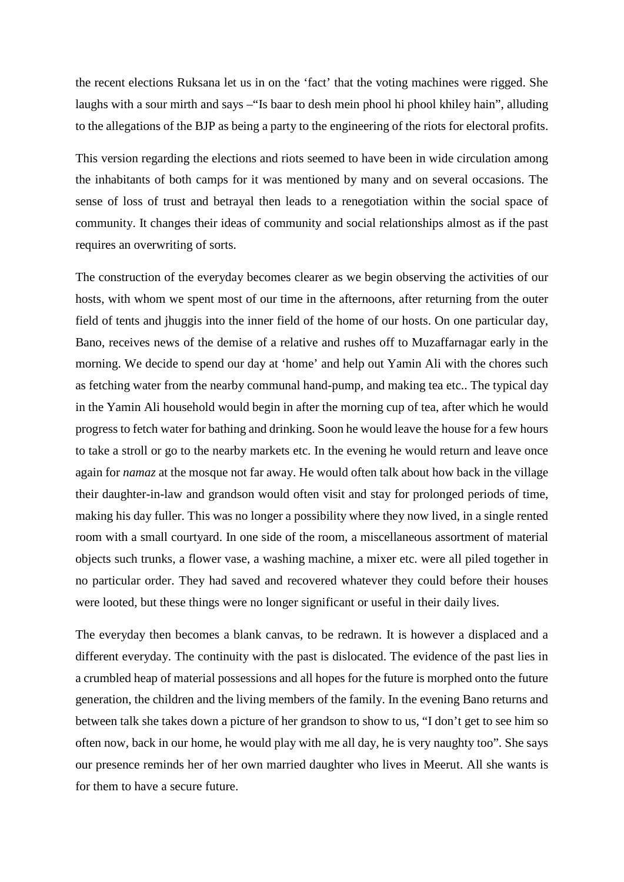the recent elections Ruksana let us in on the 'fact' that the voting machines were rigged. She laughs with a sour mirth and says –"Is baar to desh mein phool hi phool khiley hain", alluding to the allegations of the BJP as being a party to the engineering of the riots for electoral profits.

This version regarding the elections and riots seemed to have been in wide circulation among the inhabitants of both camps for it was mentioned by many and on several occasions. The sense of loss of trust and betrayal then leads to a renegotiation within the social space of community. It changes their ideas of community and social relationships almost as if the past requires an overwriting of sorts.

The construction of the everyday becomes clearer as we begin observing the activities of our hosts, with whom we spent most of our time in the afternoons, after returning from the outer field of tents and jhuggis into the inner field of the home of our hosts. On one particular day, Bano, receives news of the demise of a relative and rushes off to Muzaffarnagar early in the morning. We decide to spend our day at 'home' and help out Yamin Ali with the chores such as fetching water from the nearby communal hand-pump, and making tea etc.. The typical day in the Yamin Ali household would begin in after the morning cup of tea, after which he would progress to fetch water for bathing and drinking. Soon he would leave the house for a few hours to take a stroll or go to the nearby markets etc. In the evening he would return and leave once again for *namaz* at the mosque not far away. He would often talk about how back in the village their daughter-in-law and grandson would often visit and stay for prolonged periods of time, making his day fuller. This was no longer a possibility where they now lived, in a single rented room with a small courtyard. In one side of the room, a miscellaneous assortment of material objects such trunks, a flower vase, a washing machine, a mixer etc. were all piled together in no particular order. They had saved and recovered whatever they could before their houses were looted, but these things were no longer significant or useful in their daily lives.

The everyday then becomes a blank canvas, to be redrawn. It is however a displaced and a different everyday. The continuity with the past is dislocated. The evidence of the past lies in a crumbled heap of material possessions and all hopes for the future is morphed onto the future generation, the children and the living members of the family. In the evening Bano returns and between talk she takes down a picture of her grandson to show to us, "I don't get to see him so often now, back in our home, he would play with me all day, he is very naughty too". She says our presence reminds her of her own married daughter who lives in Meerut. All she wants is for them to have a secure future.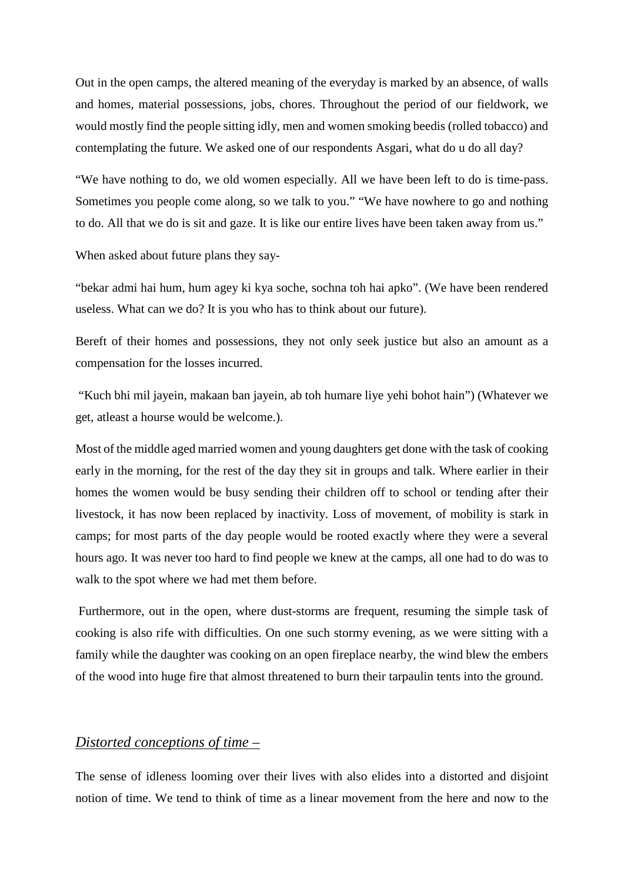Out in the open camps, the altered meaning of the everyday is marked by an absence, of walls and homes, material possessions, jobs, chores. Throughout the period of our fieldwork, we would mostly find the people sitting idly, men and women smoking beedis (rolled tobacco) and contemplating the future. We asked one of our respondents Asgari, what do u do all day?

"We have nothing to do, we old women especially. All we have been left to do is time-pass. Sometimes you people come along, so we talk to you." "We have nowhere to go and nothing to do. All that we do is sit and gaze. It is like our entire lives have been taken away from us."

When asked about future plans they say-

"bekar admi hai hum, hum agey ki kya soche, sochna toh hai apko". (We have been rendered useless. What can we do? It is you who has to think about our future).

Bereft of their homes and possessions, they not only seek justice but also an amount as a compensation for the losses incurred.

"Kuch bhi mil jayein, makaan ban jayein, ab toh humare liye yehi bohot hain") (Whatever we get, atleast a hourse would be welcome.).

Most of the middle aged married women and young daughters get done with the task of cooking early in the morning, for the rest of the day they sit in groups and talk. Where earlier in their homes the women would be busy sending their children off to school or tending after their livestock, it has now been replaced by inactivity. Loss of movement, of mobility is stark in camps; for most parts of the day people would be rooted exactly where they were a several hours ago. It was never too hard to find people we knew at the camps, all one had to do was to walk to the spot where we had met them before.

Furthermore, out in the open, where dust-storms are frequent, resuming the simple task of cooking is also rife with difficulties. On one such stormy evening, as we were sitting with a family while the daughter was cooking on an open fireplace nearby, the wind blew the embers of the wood into huge fire that almost threatened to burn their tarpaulin tents into the ground.

## *Distorted conceptions of time –*

The sense of idleness looming over their lives with also elides into a distorted and disjoint notion of time. We tend to think of time as a linear movement from the here and now to the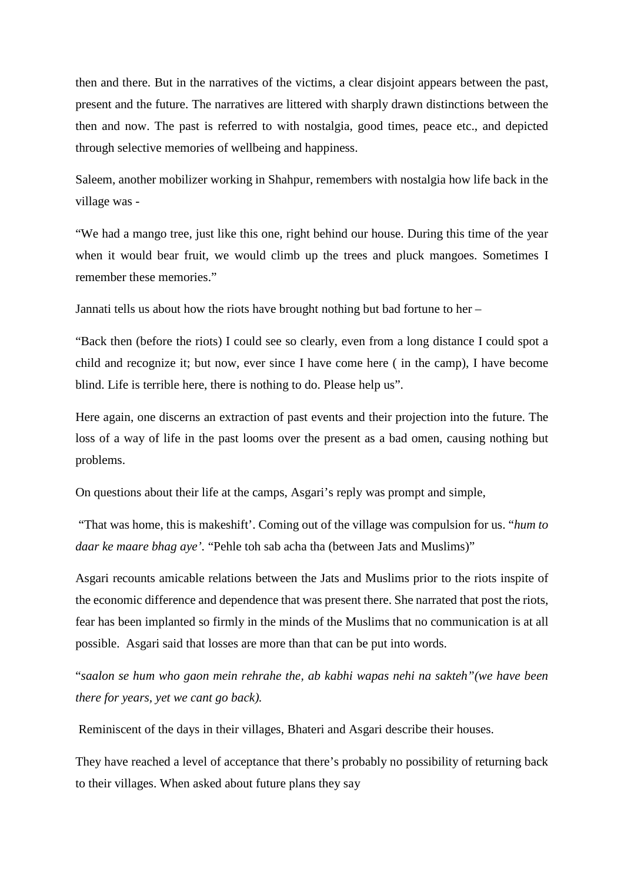then and there. But in the narratives of the victims, a clear disjoint appears between the past, present and the future. The narratives are littered with sharply drawn distinctions between the then and now. The past is referred to with nostalgia, good times, peace etc., and depicted through selective memories of wellbeing and happiness.

Saleem, another mobilizer working in Shahpur, remembers with nostalgia how life back in the village was -

"We had a mango tree, just like this one, right behind our house. During this time of the year when it would bear fruit, we would climb up the trees and pluck mangoes. Sometimes I remember these memories."

Jannati tells us about how the riots have brought nothing but bad fortune to her –

"Back then (before the riots) I could see so clearly, even from a long distance I could spot a child and recognize it; but now, ever since I have come here ( in the camp), I have become blind. Life is terrible here, there is nothing to do. Please help us".

Here again, one discerns an extraction of past events and their projection into the future. The loss of a way of life in the past looms over the present as a bad omen, causing nothing but problems.

On questions about their life at the camps, Asgari's reply was prompt and simple,

"That was home, this is makeshift'. Coming out of the village was compulsion for us. "*hum to daar ke maare bhag aye'.* "Pehle toh sab acha tha (between Jats and Muslims)"

Asgari recounts amicable relations between the Jats and Muslims prior to the riots inspite of the economic difference and dependence that was present there. She narrated that post the riots, fear has been implanted so firmly in the minds of the Muslims that no communication is at all possible. Asgari said that losses are more than that can be put into words.

"*saalon se hum who gaon mein rehrahe the, ab kabhi wapas nehi na sakteh"(we have been there for years, yet we cant go back).*

Reminiscent of the days in their villages, Bhateri and Asgari describe their houses.

They have reached a level of acceptance that there's probably no possibility of returning back to their villages. When asked about future plans they say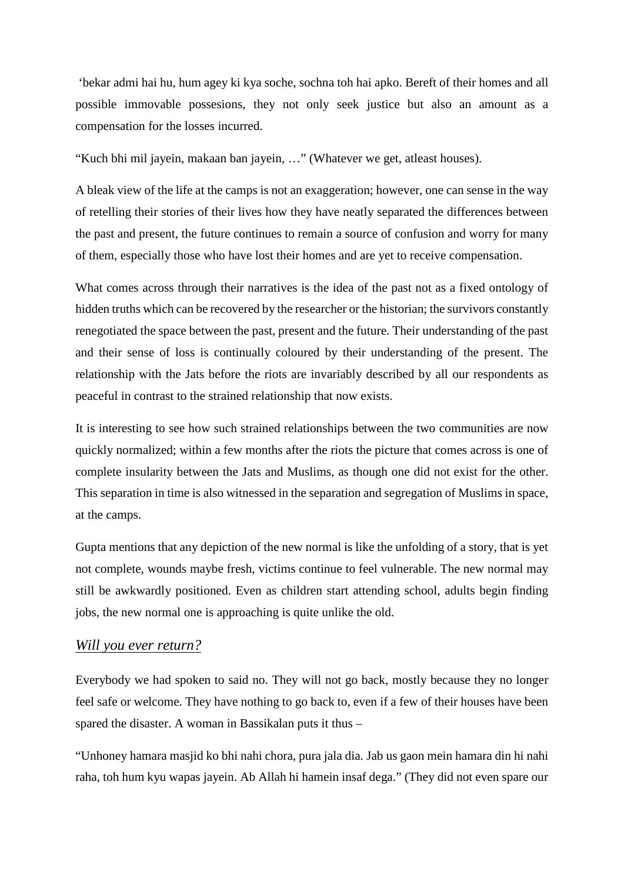'bekar admi hai hu, hum agey ki kya soche, sochna toh hai apko. Bereft of their homes and all possible immovable possesions, they not only seek justice but also an amount as a compensation for the losses incurred.

"Kuch bhi mil jayein, makaan ban jayein, …" (Whatever we get, atleast houses).

A bleak view of the life at the camps is not an exaggeration; however, one can sense in the way of retelling their stories of their lives how they have neatly separated the differences between the past and present, the future continues to remain a source of confusion and worry for many of them, especially those who have lost their homes and are yet to receive compensation.

What comes across through their narratives is the idea of the past not as a fixed ontology of hidden truths which can be recovered by the researcher or the historian; the survivors constantly renegotiated the space between the past, present and the future. Their understanding of the past and their sense of loss is continually coloured by their understanding of the present. The relationship with the Jats before the riots are invariably described by all our respondents as peaceful in contrast to the strained relationship that now exists.

It is interesting to see how such strained relationships between the two communities are now quickly normalized; within a few months after the riots the picture that comes across is one of complete insularity between the Jats and Muslims, as though one did not exist for the other. This separation in time is also witnessed in the separation and segregation of Muslims in space, at the camps.

Gupta mentions that any depiction of the new normal is like the unfolding of a story, that is yet not complete, wounds maybe fresh, victims continue to feel vulnerable. The new normal may still be awkwardly positioned. Even as children start attending school, adults begin finding jobs, the new normal one is approaching is quite unlike the old.

#### *Will you ever return?*

Everybody we had spoken to said no. They will not go back, mostly because they no longer feel safe or welcome. They have nothing to go back to, even if a few of their houses have been spared the disaster. A woman in Bassikalan puts it thus –

"Unhoney hamara masjid ko bhi nahi chora, pura jala dia. Jab us gaon mein hamara din hi nahi raha, toh hum kyu wapas jayein. Ab Allah hi hamein insaf dega." (They did not even spare our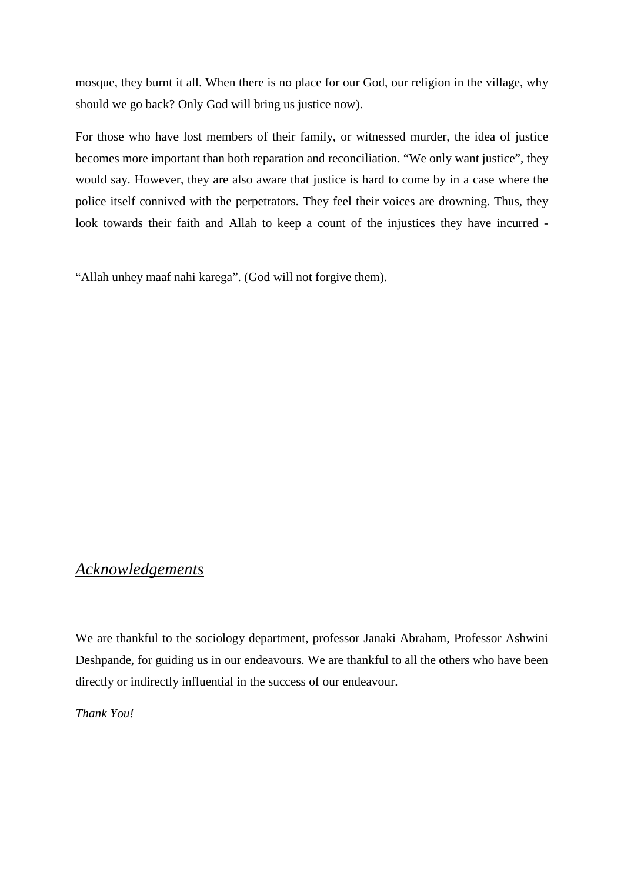mosque, they burnt it all. When there is no place for our God, our religion in the village, why should we go back? Only God will bring us justice now).

For those who have lost members of their family, or witnessed murder, the idea of justice becomes more important than both reparation and reconciliation. "We only want justice", they would say. However, they are also aware that justice is hard to come by in a case where the police itself connived with the perpetrators. They feel their voices are drowning. Thus, they look towards their faith and Allah to keep a count of the injustices they have incurred -

"Allah unhey maaf nahi karega". (God will not forgive them).

# *Acknowledgements*

We are thankful to the sociology department, professor Janaki Abraham, Professor Ashwini Deshpande, for guiding us in our endeavours. We are thankful to all the others who have been directly or indirectly influential in the success of our endeavour.

*Thank You!*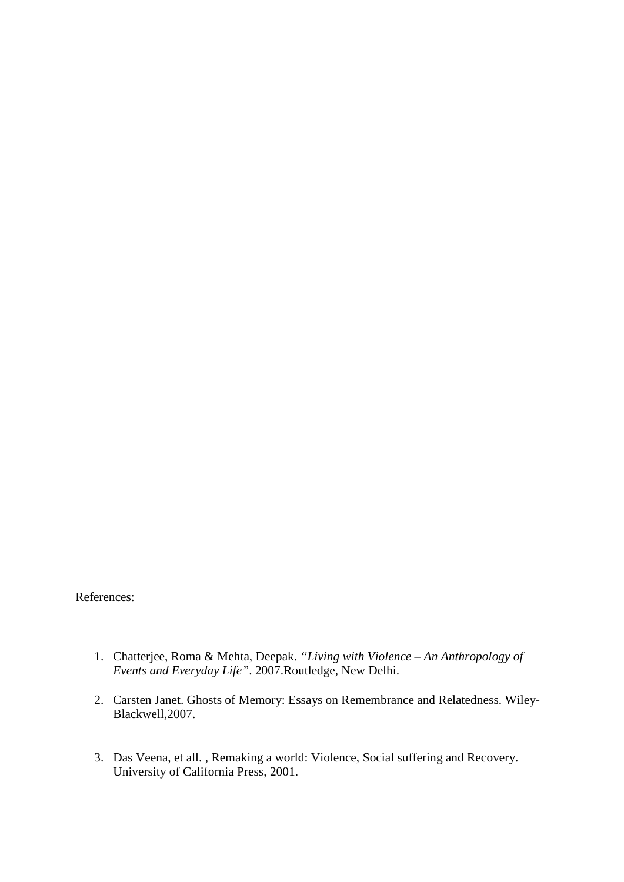References:

- 1. Chatterjee, Roma & Mehta, Deepak. *"Living with Violence – An Anthropology of Events and Everyday Life"*. 2007.Routledge, New Delhi.
- 2. Carsten Janet. Ghosts of Memory: Essays on Remembrance and Relatedness. Wiley-Blackwell,2007.
- 3. Das Veena, et all. , Remaking a world: Violence, Social suffering and Recovery. University of California Press, 2001.